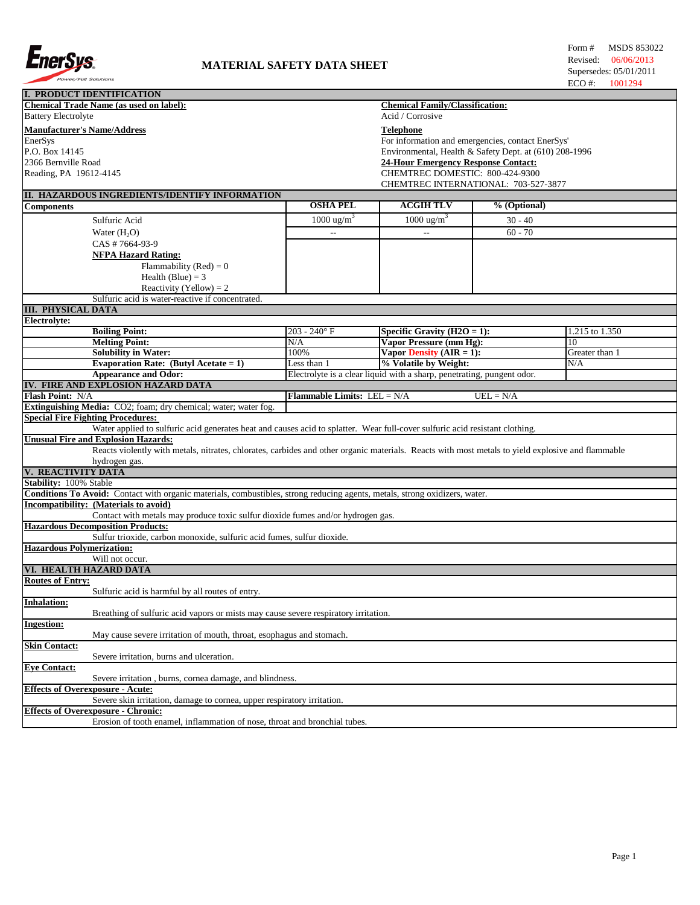

| <b>I. PRODUCT IDENTIFICATION</b>                                                                                                                  |                             |                                                                        |              |                |  |  |
|---------------------------------------------------------------------------------------------------------------------------------------------------|-----------------------------|------------------------------------------------------------------------|--------------|----------------|--|--|
| <b>Chemical Trade Name (as used on label):</b>                                                                                                    |                             | <b>Chemical Family/Classification:</b>                                 |              |                |  |  |
| <b>Battery Electrolyte</b>                                                                                                                        |                             | Acid / Corrosive                                                       |              |                |  |  |
| <b>Manufacturer's Name/Address</b>                                                                                                                |                             | <b>Telephone</b>                                                       |              |                |  |  |
| EnerSys                                                                                                                                           |                             | For information and emergencies, contact EnerSys'                      |              |                |  |  |
| P.O. Box 14145                                                                                                                                    |                             | Environmental, Health & Safety Dept. at (610) 208-1996                 |              |                |  |  |
| 2366 Bernville Road                                                                                                                               |                             | <b>24-Hour Emergency Response Contact:</b>                             |              |                |  |  |
| Reading, PA 19612-4145                                                                                                                            |                             | CHEMTREC DOMESTIC: 800-424-9300                                        |              |                |  |  |
|                                                                                                                                                   |                             | CHEMTREC INTERNATIONAL: 703-527-3877                                   |              |                |  |  |
| II. HAZARDOUS INGREDIENTS/IDENTIFY INFORMATION                                                                                                    |                             |                                                                        |              |                |  |  |
| <b>Components</b>                                                                                                                                 | <b>OSHA PEL</b>             | <b>ACGIH TLV</b>                                                       | % (Optional) |                |  |  |
| Sulfuric Acid                                                                                                                                     | 1000 ug/m <sup>3</sup>      | 1000 ug/m <sup>3</sup>                                                 | $30 - 40$    |                |  |  |
|                                                                                                                                                   | $\overline{a}$              | $\overline{\phantom{a}}$                                               | $60 - 70$    |                |  |  |
| Water $(H2O)$                                                                                                                                     |                             |                                                                        |              |                |  |  |
| CAS #7664-93-9                                                                                                                                    |                             |                                                                        |              |                |  |  |
| <b>NFPA Hazard Rating:</b>                                                                                                                        |                             |                                                                        |              |                |  |  |
| Flammability (Red) = $0$                                                                                                                          |                             |                                                                        |              |                |  |  |
| Health (Blue) = $3$                                                                                                                               |                             |                                                                        |              |                |  |  |
| Reactivity (Yellow) = $2$                                                                                                                         |                             |                                                                        |              |                |  |  |
| Sulfuric acid is water-reactive if concentrated.                                                                                                  |                             |                                                                        |              |                |  |  |
| <b>III. PHYSICAL DATA</b>                                                                                                                         |                             |                                                                        |              |                |  |  |
| Electrolyte:                                                                                                                                      |                             |                                                                        |              |                |  |  |
| <b>Boiling Point:</b>                                                                                                                             | $203 - 240$ °F              | Specific Gravity ( $H2O = 1$ ):                                        |              | 1.215 to 1.350 |  |  |
| <b>Melting Point:</b>                                                                                                                             | N/A                         | Vapor Pressure (mm Hg):                                                |              | 10             |  |  |
| <b>Solubility in Water:</b>                                                                                                                       | 100%                        | Vapor Density $(AIR = 1)$ :                                            |              | Greater than 1 |  |  |
| Evaporation Rate: (Butyl Acetate = $1$ )                                                                                                          | Less than 1                 | % Volatile by Weight:                                                  |              | N/A            |  |  |
| <b>Appearance and Odor:</b>                                                                                                                       |                             | Electrolyte is a clear liquid with a sharp, penetrating, pungent odor. |              |                |  |  |
| IV. FIRE AND EXPLOSION HAZARD DATA                                                                                                                |                             |                                                                        |              |                |  |  |
| Flash Point: N/A                                                                                                                                  | Flammable Limits: LEL = N/A |                                                                        | $UEL = N/A$  |                |  |  |
| Extinguishing Media: CO2; foam; dry chemical; water; water fog.                                                                                   |                             |                                                                        |              |                |  |  |
| <b>Special Fire Fighting Procedures:</b>                                                                                                          |                             |                                                                        |              |                |  |  |
| Water applied to sulfuric acid generates heat and causes acid to splatter. Wear full-cover sulfuric acid resistant clothing.                      |                             |                                                                        |              |                |  |  |
| <b>Unusual Fire and Explosion Hazards:</b>                                                                                                        |                             |                                                                        |              |                |  |  |
| Reacts violently with metals, nitrates, chlorates, carbides and other organic materials. Reacts with most metals to yield explosive and flammable |                             |                                                                        |              |                |  |  |
| hydrogen gas.                                                                                                                                     |                             |                                                                        |              |                |  |  |
| V. REACTIVITY DATA                                                                                                                                |                             |                                                                        |              |                |  |  |
| Stability: 100% Stable                                                                                                                            |                             |                                                                        |              |                |  |  |
| Conditions To Avoid: Contact with organic materials, combustibles, strong reducing agents, metals, strong oxidizers, water.                       |                             |                                                                        |              |                |  |  |
| Incompatibility: (Materials to avoid)                                                                                                             |                             |                                                                        |              |                |  |  |
| Contact with metals may produce toxic sulfur dioxide fumes and/or hydrogen gas.                                                                   |                             |                                                                        |              |                |  |  |
| <b>Hazardous Decomposition Products:</b><br>Sulfur trioxide, carbon monoxide, sulfuric acid fumes, sulfur dioxide.                                |                             |                                                                        |              |                |  |  |
| <b>Hazardous Polymerization:</b>                                                                                                                  |                             |                                                                        |              |                |  |  |
| Will not occur.                                                                                                                                   |                             |                                                                        |              |                |  |  |
| VI. HEALTH HAZARD DATA                                                                                                                            |                             |                                                                        |              |                |  |  |
| <b>Routes of Entry:</b>                                                                                                                           |                             |                                                                        |              |                |  |  |
| Sulfuric acid is harmful by all routes of entry.                                                                                                  |                             |                                                                        |              |                |  |  |
| <b>Inhalation:</b>                                                                                                                                |                             |                                                                        |              |                |  |  |
| Breathing of sulfuric acid vapors or mists may cause severe respiratory irritation.                                                               |                             |                                                                        |              |                |  |  |
| <b>Ingestion:</b>                                                                                                                                 |                             |                                                                        |              |                |  |  |
| May cause severe irritation of mouth, throat, esophagus and stomach.                                                                              |                             |                                                                        |              |                |  |  |
| <b>Skin Contact:</b>                                                                                                                              |                             |                                                                        |              |                |  |  |
| Severe irritation, burns and ulceration.                                                                                                          |                             |                                                                        |              |                |  |  |
| <b>Eye Contact:</b>                                                                                                                               |                             |                                                                        |              |                |  |  |
| Severe irritation, burns, cornea damage, and blindness.                                                                                           |                             |                                                                        |              |                |  |  |
| <b>Effects of Overexposure - Acute:</b>                                                                                                           |                             |                                                                        |              |                |  |  |
| Severe skin irritation, damage to cornea, upper respiratory irritation.                                                                           |                             |                                                                        |              |                |  |  |
| <b>Effects of Overexposure - Chronic:</b>                                                                                                         |                             |                                                                        |              |                |  |  |
| Erosion of tooth enamel, inflammation of nose, throat and bronchial tubes.                                                                        |                             |                                                                        |              |                |  |  |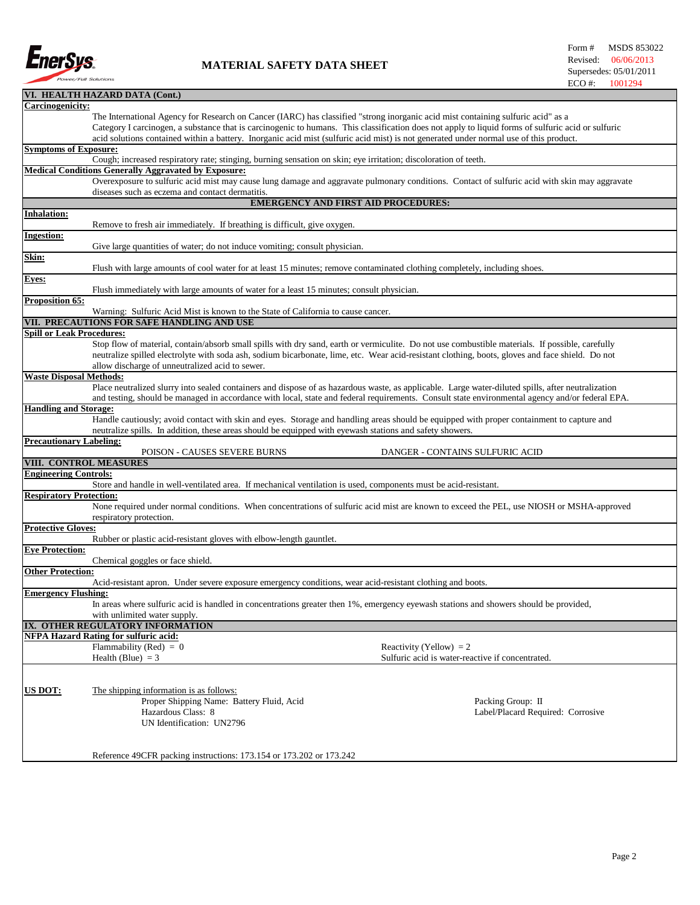

## **MATERIAL SAFETY DATA SHEET**

|                                  | VI. HEALTH HAZARD DATA (Cont.)                                                                                                                     |  |  |  |  |
|----------------------------------|----------------------------------------------------------------------------------------------------------------------------------------------------|--|--|--|--|
| Carcinogenicity:                 |                                                                                                                                                    |  |  |  |  |
|                                  | The International Agency for Research on Cancer (IARC) has classified "strong inorganic acid mist containing sulfuric acid" as a                   |  |  |  |  |
|                                  | Category I carcinogen, a substance that is carcinogenic to humans. This classification does not apply to liquid forms of sulfuric acid or sulfuric |  |  |  |  |
|                                  | acid solutions contained within a battery. Inorganic acid mist (sulfuric acid mist) is not generated under normal use of this product.             |  |  |  |  |
| <b>Symptoms of Exposure:</b>     |                                                                                                                                                    |  |  |  |  |
|                                  | Cough; increased respiratory rate; stinging, burning sensation on skin; eye irritation; discoloration of teeth.                                    |  |  |  |  |
|                                  | <b>Medical Conditions Generally Aggravated by Exposure:</b>                                                                                        |  |  |  |  |
|                                  | Overexposure to sulfuric acid mist may cause lung damage and aggravate pulmonary conditions. Contact of sulfuric acid with skin may aggravate      |  |  |  |  |
|                                  | diseases such as eczema and contact dermatitis.                                                                                                    |  |  |  |  |
|                                  | <b>EMERGENCY AND FIRST AID PROCEDURES:</b>                                                                                                         |  |  |  |  |
| Inhalation:                      |                                                                                                                                                    |  |  |  |  |
|                                  | Remove to fresh air immediately. If breathing is difficult, give oxygen.                                                                           |  |  |  |  |
| <b>Ingestion:</b>                |                                                                                                                                                    |  |  |  |  |
|                                  | Give large quantities of water; do not induce vomiting; consult physician.                                                                         |  |  |  |  |
| Skin:                            |                                                                                                                                                    |  |  |  |  |
|                                  | Flush with large amounts of cool water for at least 15 minutes; remove contaminated clothing completely, including shoes.                          |  |  |  |  |
| Eyes:                            |                                                                                                                                                    |  |  |  |  |
|                                  | Flush immediately with large amounts of water for a least 15 minutes; consult physician.                                                           |  |  |  |  |
| Proposition 65:                  |                                                                                                                                                    |  |  |  |  |
|                                  | Warning: Sulfuric Acid Mist is known to the State of California to cause cancer.                                                                   |  |  |  |  |
|                                  | VII. PRECAUTIONS FOR SAFE HANDLING AND USE                                                                                                         |  |  |  |  |
| <b>Spill or Leak Procedures:</b> |                                                                                                                                                    |  |  |  |  |
|                                  | Stop flow of material, contain/absorb small spills with dry sand, earth or vermiculite. Do not use combustible materials. If possible, carefully   |  |  |  |  |
|                                  | neutralize spilled electrolyte with soda ash, sodium bicarbonate, lime, etc. Wear acid-resistant clothing, boots, gloves and face shield. Do not   |  |  |  |  |
|                                  | allow discharge of unneutralized acid to sewer.                                                                                                    |  |  |  |  |
| <b>Waste Disposal Methods:</b>   |                                                                                                                                                    |  |  |  |  |
|                                  | Place neutralized slurry into sealed containers and dispose of as hazardous waste, as applicable. Large water-diluted spills, after neutralization |  |  |  |  |
|                                  | and testing, should be managed in accordance with local, state and federal requirements. Consult state environmental agency and/or federal EPA.    |  |  |  |  |
| <b>Handling and Storage:</b>     |                                                                                                                                                    |  |  |  |  |
|                                  | Handle cautiously; avoid contact with skin and eyes. Storage and handling areas should be equipped with proper containment to capture and          |  |  |  |  |
|                                  | neutralize spills. In addition, these areas should be equipped with eyewash stations and safety showers.                                           |  |  |  |  |
| <b>Precautionary Labeling:</b>   |                                                                                                                                                    |  |  |  |  |
|                                  | POISON - CAUSES SEVERE BURNS<br>DANGER - CONTAINS SULFURIC ACID                                                                                    |  |  |  |  |
| VIII. CONTROL MEASURES           |                                                                                                                                                    |  |  |  |  |
| <b>Engineering Controls:</b>     |                                                                                                                                                    |  |  |  |  |
|                                  | Store and handle in well-ventilated area. If mechanical ventilation is used, components must be acid-resistant.                                    |  |  |  |  |
| <b>Respiratory Protection:</b>   |                                                                                                                                                    |  |  |  |  |
|                                  | None required under normal conditions. When concentrations of sulfuric acid mist are known to exceed the PEL, use NIOSH or MSHA-approved           |  |  |  |  |
|                                  | respiratory protection.                                                                                                                            |  |  |  |  |
| <b>Protective Gloves:</b>        |                                                                                                                                                    |  |  |  |  |
|                                  | Rubber or plastic acid-resistant gloves with elbow-length gauntlet.                                                                                |  |  |  |  |
| <b>Eye Protection:</b>           |                                                                                                                                                    |  |  |  |  |
|                                  | Chemical goggles or face shield.                                                                                                                   |  |  |  |  |
| <b>Other Protection:</b>         |                                                                                                                                                    |  |  |  |  |
|                                  | Acid-resistant apron. Under severe exposure emergency conditions, wear acid-resistant clothing and boots.                                          |  |  |  |  |
| <b>Emergency Flushing:</b>       |                                                                                                                                                    |  |  |  |  |
|                                  | In areas where sulfuric acid is handled in concentrations greater then 1%, emergency eyewash stations and showers should be provided,              |  |  |  |  |
|                                  | with unlimited water supply.                                                                                                                       |  |  |  |  |
|                                  | IX. OTHER REGULATORY INFORMATION                                                                                                                   |  |  |  |  |
|                                  | <b>NFPA Hazard Rating for sulfuric acid:</b>                                                                                                       |  |  |  |  |
|                                  | Flammability (Red) = $0$<br>Reactivity (Yellow) = $2$                                                                                              |  |  |  |  |
|                                  | Health (Blue) $= 3$<br>Sulfuric acid is water-reactive if concentrated.                                                                            |  |  |  |  |
|                                  |                                                                                                                                                    |  |  |  |  |
|                                  |                                                                                                                                                    |  |  |  |  |
| <b>US DOT:</b>                   | The shipping information is as follows:                                                                                                            |  |  |  |  |
|                                  | Proper Shipping Name: Battery Fluid, Acid<br>Packing Group: II                                                                                     |  |  |  |  |
|                                  | Hazardous Class: 8<br>Label/Placard Required: Corrosive                                                                                            |  |  |  |  |
|                                  | UN Identification: UN2796                                                                                                                          |  |  |  |  |
|                                  |                                                                                                                                                    |  |  |  |  |
|                                  |                                                                                                                                                    |  |  |  |  |
|                                  | Reference 49CFR packing instructions: 173.154 or 173.202 or 173.242                                                                                |  |  |  |  |
|                                  |                                                                                                                                                    |  |  |  |  |